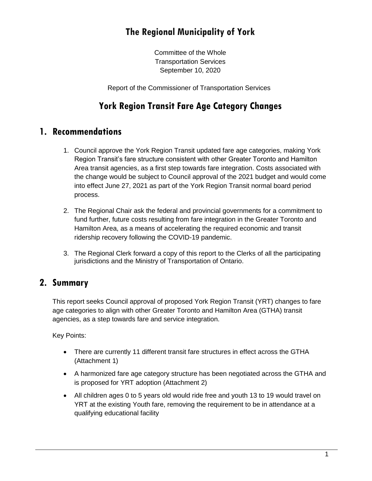# **The Regional Municipality of York**

Committee of the Whole Transportation Services September 10, 2020

Report of the Commissioner of Transportation Services

### **York Region Transit Fare Age Category Changes**

#### **1. Recommendations**

- 1. Council approve the York Region Transit updated fare age categories, making York Region Transit's fare structure consistent with other Greater Toronto and Hamilton Area transit agencies, as a first step towards fare integration. Costs associated with the change would be subject to Council approval of the 2021 budget and would come into effect June 27, 2021 as part of the York Region Transit normal board period process.
- 2. The Regional Chair ask the federal and provincial governments for a commitment to fund further, future costs resulting from fare integration in the Greater Toronto and Hamilton Area, as a means of accelerating the required economic and transit ridership recovery following the COVID-19 pandemic.
- 3. The Regional Clerk forward a copy of this report to the Clerks of all the participating jurisdictions and the Ministry of Transportation of Ontario.

### **2. Summary**

This report seeks Council approval of proposed York Region Transit (YRT) changes to fare age categories to align with other Greater Toronto and Hamilton Area (GTHA) transit agencies, as a step towards fare and service integration.

Key Points:

- There are currently 11 different transit fare structures in effect across the GTHA (Attachment 1)
- A harmonized fare age category structure has been negotiated across the GTHA and is proposed for YRT adoption (Attachment 2)
- All children ages 0 to 5 years old would ride free and youth 13 to 19 would travel on YRT at the existing Youth fare, removing the requirement to be in attendance at a qualifying educational facility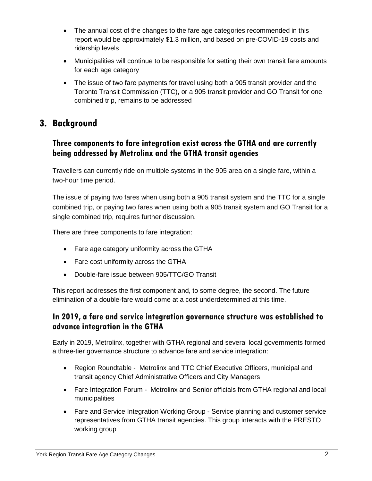- The annual cost of the changes to the fare age categories recommended in this report would be approximately \$1.3 million, and based on pre-COVID-19 costs and ridership levels
- Municipalities will continue to be responsible for setting their own transit fare amounts for each age category
- The issue of two fare payments for travel using both a 905 transit provider and the Toronto Transit Commission (TTC), or a 905 transit provider and GO Transit for one combined trip, remains to be addressed

### **3. Background**

#### **Three components to fare integration exist across the GTHA and are currently being addressed by Metrolinx and the GTHA transit agencies**

Travellers can currently ride on multiple systems in the 905 area on a single fare, within a two-hour time period.

The issue of paying two fares when using both a 905 transit system and the TTC for a single combined trip, or paying two fares when using both a 905 transit system and GO Transit for a single combined trip, requires further discussion.

There are three components to fare integration:

- Fare age category uniformity across the GTHA
- Fare cost uniformity across the GTHA
- Double-fare issue between 905/TTC/GO Transit

This report addresses the first component and, to some degree, the second. The future elimination of a double-fare would come at a cost underdetermined at this time.

#### **In 2019, a fare and service integration governance structure was established to advance integration in the GTHA**

Early in 2019, Metrolinx, together with GTHA regional and several local governments formed a three-tier governance structure to advance fare and service integration:

- Region Roundtable Metrolinx and TTC Chief Executive Officers, municipal and transit agency Chief Administrative Officers and City Managers
- Fare Integration Forum Metrolinx and Senior officials from GTHA regional and local municipalities
- Fare and Service Integration Working Group Service planning and customer service representatives from GTHA transit agencies. This group interacts with the PRESTO working group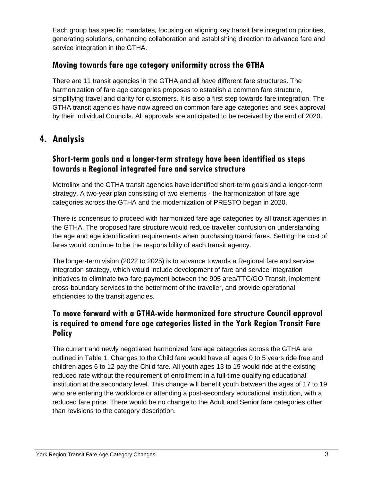Each group has specific mandates, focusing on aligning key transit fare integration priorities, generating solutions, enhancing collaboration and establishing direction to advance fare and service integration in the GTHA.

#### **Moving towards fare age category uniformity across the GTHA**

There are 11 transit agencies in the GTHA and all have different fare structures. The harmonization of fare age categories proposes to establish a common fare structure, simplifying travel and clarity for customers. It is also a first step towards fare integration. The GTHA transit agencies have now agreed on common fare age categories and seek approval by their individual Councils. All approvals are anticipated to be received by the end of 2020.

## **4. Analysis**

#### **Short-term goals and a longer-term strategy have been identified as steps towards a Regional integrated fare and service structure**

Metrolinx and the GTHA transit agencies have identified short-term goals and a longer-term strategy. A two-year plan consisting of two elements - the harmonization of fare age categories across the GTHA and the modernization of PRESTO began in 2020.

There is consensus to proceed with harmonized fare age categories by all transit agencies in the GTHA. The proposed fare structure would reduce traveller confusion on understanding the age and age identification requirements when purchasing transit fares. Setting the cost of fares would continue to be the responsibility of each transit agency.

The longer-term vision (2022 to 2025) is to advance towards a Regional fare and service integration strategy, which would include development of fare and service integration initiatives to eliminate two-fare payment between the 905 area/TTC/GO Transit, implement cross-boundary services to the betterment of the traveller, and provide operational efficiencies to the transit agencies.

#### **To move forward with a GTHA-wide harmonized fare structure Council approval is required to amend fare age categories listed in the York Region Transit Fare Policy**

The current and newly negotiated harmonized fare age categories across the GTHA are outlined in Table 1. Changes to the Child fare would have all ages 0 to 5 years ride free and children ages 6 to 12 pay the Child fare. All youth ages 13 to 19 would ride at the existing reduced rate without the requirement of enrollment in a full-time qualifying educational institution at the secondary level. This change will benefit youth between the ages of 17 to 19 who are entering the workforce or attending a post-secondary educational institution, with a reduced fare price. There would be no change to the Adult and Senior fare categories other than revisions to the category description.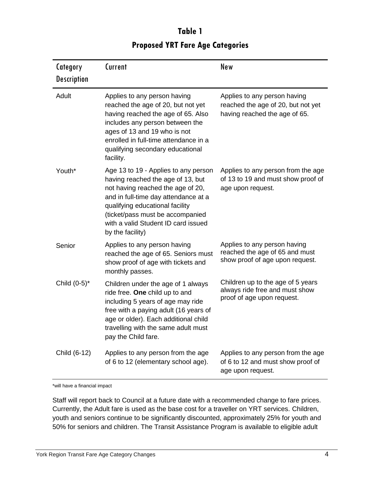| Category<br><b>Description</b> | Current                                                                                                                                                                                                                                                                                  | New                                                                                                 |
|--------------------------------|------------------------------------------------------------------------------------------------------------------------------------------------------------------------------------------------------------------------------------------------------------------------------------------|-----------------------------------------------------------------------------------------------------|
| Adult                          | Applies to any person having<br>reached the age of 20, but not yet<br>having reached the age of 65. Also<br>includes any person between the<br>ages of 13 and 19 who is not<br>enrolled in full-time attendance in a<br>qualifying secondary educational<br>facility.                    | Applies to any person having<br>reached the age of 20, but not yet<br>having reached the age of 65. |
| Youth*                         | Age 13 to 19 - Applies to any person<br>having reached the age of 13, but<br>not having reached the age of 20,<br>and in full-time day attendance at a<br>qualifying educational facility<br>(ticket/pass must be accompanied<br>with a valid Student ID card issued<br>by the facility) | Applies to any person from the age<br>of 13 to 19 and must show proof of<br>age upon request.       |
| Senior                         | Applies to any person having<br>reached the age of 65. Seniors must<br>show proof of age with tickets and<br>monthly passes.                                                                                                                                                             | Applies to any person having<br>reached the age of 65 and must<br>show proof of age upon request.   |
| Child (0-5)*                   | Children under the age of 1 always<br>ride free. One child up to and<br>including 5 years of age may ride<br>free with a paying adult (16 years of<br>age or older). Each additional child<br>travelling with the same adult must<br>pay the Child fare.                                 | Children up to the age of 5 years<br>always ride free and must show<br>proof of age upon request.   |
| Child (6-12)                   | Applies to any person from the age<br>of 6 to 12 (elementary school age).                                                                                                                                                                                                                | Applies to any person from the age<br>of 6 to 12 and must show proof of<br>age upon request.        |

# **Table 1 Proposed YRT Fare Age Categories**

\*will have a financial impact

Staff will report back to Council at a future date with a recommended change to fare prices. Currently, the Adult fare is used as the base cost for a traveller on YRT services. Children, youth and seniors continue to be significantly discounted, approximately 25% for youth and 50% for seniors and children. The Transit Assistance Program is available to eligible adult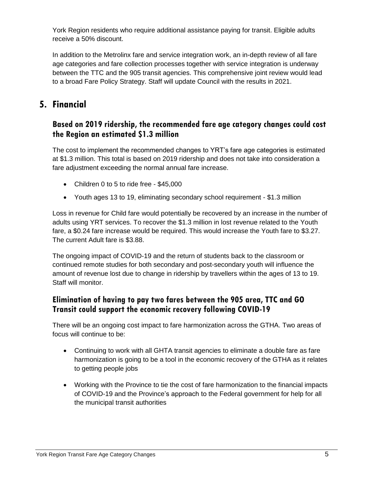York Region residents who require additional assistance paying for transit. Eligible adults receive a 50% discount.

In addition to the Metrolinx fare and service integration work, an in-depth review of all fare age categories and fare collection processes together with service integration is underway between the TTC and the 905 transit agencies. This comprehensive joint review would lead to a broad Fare Policy Strategy. Staff will update Council with the results in 2021.

### **5. Financial**

#### **Based on 2019 ridership, the recommended fare age category changes could cost the Region an estimated \$1.3 million**

The cost to implement the recommended changes to YRT's fare age categories is estimated at \$1.3 million. This total is based on 2019 ridership and does not take into consideration a fare adjustment exceeding the normal annual fare increase.

- Children 0 to 5 to ride free \$45,000
- Youth ages 13 to 19, eliminating secondary school requirement \$1.3 million

Loss in revenue for Child fare would potentially be recovered by an increase in the number of adults using YRT services. To recover the \$1.3 million in lost revenue related to the Youth fare, a \$0.24 fare increase would be required. This would increase the Youth fare to \$3.27. The current Adult fare is \$3.88.

The ongoing impact of COVID-19 and the return of students back to the classroom or continued remote studies for both secondary and post-secondary youth will influence the amount of revenue lost due to change in ridership by travellers within the ages of 13 to 19. Staff will monitor.

#### **Elimination of having to pay two fares between the 905 area, TTC and GO Transit could support the economic recovery following COVID-19**

There will be an ongoing cost impact to fare harmonization across the GTHA. Two areas of focus will continue to be:

- Continuing to work with all GHTA transit agencies to eliminate a double fare as fare harmonization is going to be a tool in the economic recovery of the GTHA as it relates to getting people jobs
- Working with the Province to tie the cost of fare harmonization to the financial impacts of COVID-19 and the Province's approach to the Federal government for help for all the municipal transit authorities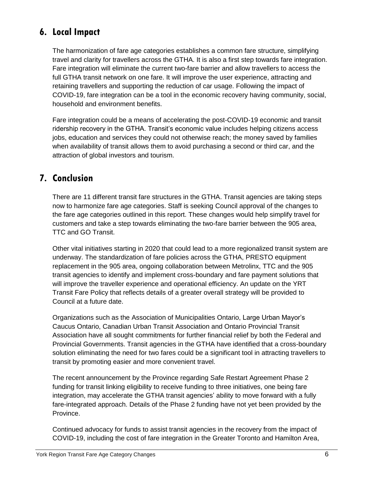# **6. Local Impact**

The harmonization of fare age categories establishes a common fare structure, simplifying travel and clarity for travellers across the GTHA. It is also a first step towards fare integration. Fare integration will eliminate the current two-fare barrier and allow travellers to access the full GTHA transit network on one fare. It will improve the user experience, attracting and retaining travellers and supporting the reduction of car usage. Following the impact of COVID-19, fare integration can be a tool in the economic recovery having community, social, household and environment benefits.

Fare integration could be a means of accelerating the post-COVID-19 economic and transit ridership recovery in the GTHA. Transit's economic value includes helping citizens access jobs, education and services they could not otherwise reach; the money saved by families when availability of transit allows them to avoid purchasing a second or third car, and the attraction of global investors and tourism.

### **7. Conclusion**

There are 11 different transit fare structures in the GTHA. Transit agencies are taking steps now to harmonize fare age categories. Staff is seeking Council approval of the changes to the fare age categories outlined in this report. These changes would help simplify travel for customers and take a step towards eliminating the two-fare barrier between the 905 area, TTC and GO Transit.

Other vital initiatives starting in 2020 that could lead to a more regionalized transit system are underway. The standardization of fare policies across the GTHA, PRESTO equipment replacement in the 905 area, ongoing collaboration between Metrolinx, TTC and the 905 transit agencies to identify and implement cross-boundary and fare payment solutions that will improve the traveller experience and operational efficiency. An update on the YRT Transit Fare Policy that reflects details of a greater overall strategy will be provided to Council at a future date.

Organizations such as the Association of Municipalities Ontario, Large Urban Mayor's Caucus Ontario, Canadian Urban Transit Association and Ontario Provincial Transit Association have all sought commitments for further financial relief by both the Federal and Provincial Governments. Transit agencies in the GTHA have identified that a cross-boundary solution eliminating the need for two fares could be a significant tool in attracting travellers to transit by promoting easier and more convenient travel.

The recent announcement by the Province regarding Safe Restart Agreement Phase 2 funding for transit linking eligibility to receive funding to three initiatives, one being fare integration, may accelerate the GTHA transit agencies' ability to move forward with a fully fare-integrated approach. Details of the Phase 2 funding have not yet been provided by the Province.

Continued advocacy for funds to assist transit agencies in the recovery from the impact of COVID-19, including the cost of fare integration in the Greater Toronto and Hamilton Area,